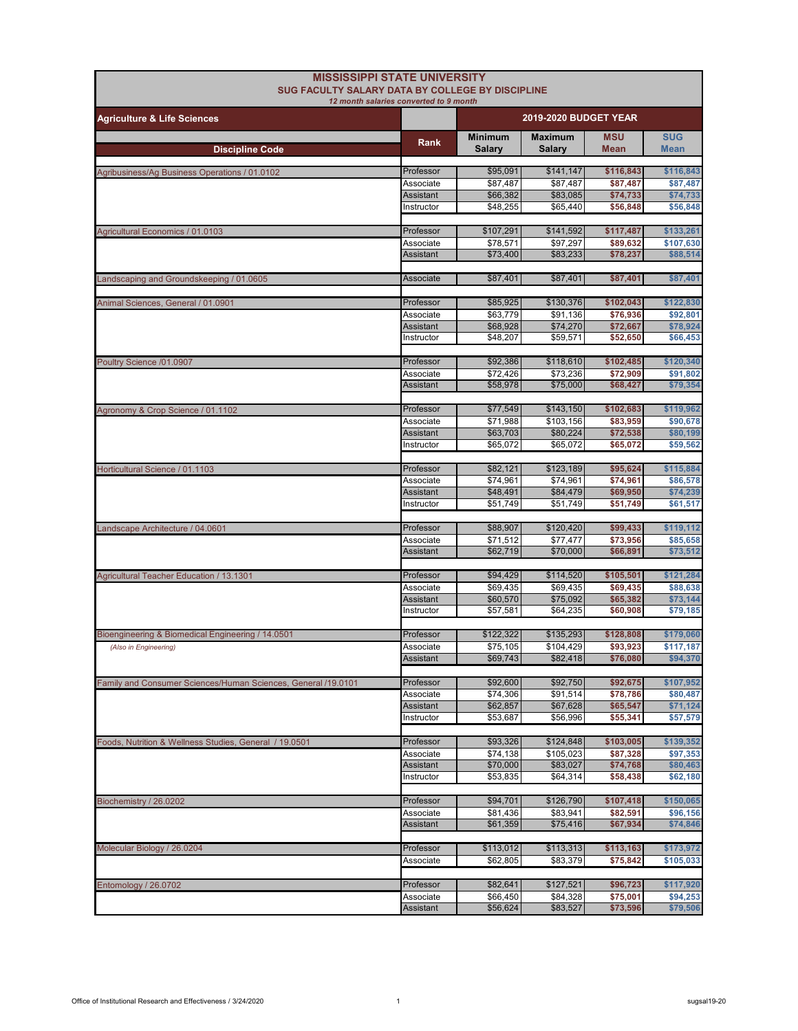| <b>MISSISSIPPI STATE UNIVERSITY</b><br><b>SUG FACULTY SALARY DATA BY COLLEGE BY DISCIPLINE</b> |                                        |                          |                                 |                           |                           |
|------------------------------------------------------------------------------------------------|----------------------------------------|--------------------------|---------------------------------|---------------------------|---------------------------|
| <b>Agriculture &amp; Life Sciences</b>                                                         | 12 month salaries converted to 9 month |                          | <b>2019-2020 BUDGET YEAR</b>    |                           |                           |
| <b>Discipline Code</b>                                                                         | Rank                                   | <b>Minimum</b><br>Salary | <b>Maximum</b><br><b>Salary</b> | <b>MSU</b><br><b>Mean</b> | <b>SUG</b><br><b>Mean</b> |
|                                                                                                | Professor                              | \$95,091                 |                                 |                           |                           |
| Agribusiness/Ag Business Operations / 01.0102                                                  | Associate                              | \$87,487                 | \$141,147<br>\$87,487           | \$116,843<br>\$87,487     | \$116,843<br>\$87,487     |
|                                                                                                | Assistant                              | \$66,382                 | \$83,085                        | \$74,733                  | \$74,733                  |
|                                                                                                | Instructor                             | \$48,255                 | \$65.440                        | \$56,848                  | \$56,848                  |
| Agricultural Economics / 01.0103                                                               | Professor                              | \$107,291                | \$141,592                       | \$117,487                 | \$133,261                 |
|                                                                                                | Associate                              | \$78,571                 | \$97,297                        | \$89,632                  | \$107,630                 |
|                                                                                                | Assistant                              | \$73,400                 | \$83,233                        | \$78.237                  | \$88,514                  |
| Landscaping and Groundskeeping / 01.0605                                                       | Associate                              | \$87,401                 | \$87,401                        | \$87,401                  | \$87,401                  |
|                                                                                                | Professor                              | \$85,925                 | \$130,376                       | \$102,043                 | \$122,830                 |
| Animal Sciences, General / 01.0901                                                             | Associate                              | \$63,779                 | \$91,136                        | \$76,936                  | \$92,801                  |
|                                                                                                | Assistant                              | \$68,928                 | \$74,270                        | \$72,667                  | \$78,924                  |
|                                                                                                | Instructor                             | \$48,207                 | \$59.571                        | \$52,650                  | \$66,453                  |
| Poultry Science /01.0907                                                                       | Professor                              | \$92,386                 | \$118,610                       | \$102,485                 | \$120,340                 |
|                                                                                                | Associate                              | \$72,426                 | \$73,236                        | \$72,909                  | \$91,802                  |
|                                                                                                | Assistant                              | \$58,978                 | \$75,000                        | \$68,427                  | \$79,354                  |
| Agronomy & Crop Science / 01.1102                                                              | Professor                              | \$77,549                 | \$143,150                       | \$102,683                 | \$119,962                 |
|                                                                                                | Associate                              | \$71,988                 | \$103,156                       | \$83,959                  | \$90,678                  |
|                                                                                                | <b>Assistant</b>                       | \$63,703                 | \$80,224                        | \$72,538                  | \$80,199                  |
|                                                                                                | Instructor                             | \$65,072                 | \$65,072                        | \$65,072                  | \$59,562                  |
| Horticultural Science / 01.1103                                                                | Professor                              | \$82,121                 | \$123,189                       | \$95,624                  | \$115,884                 |
|                                                                                                | Associate                              | \$74,961                 | \$74,961                        | \$74,961                  | \$86,578                  |
|                                                                                                | Assistant                              | \$48,491                 | \$84,479                        | \$69,950                  | \$74,239                  |
|                                                                                                | Instructor                             | \$51,749                 | \$51,749                        | \$51,749                  | \$61,517                  |
| Landscape Architecture / 04.0601                                                               | Professor                              | \$88,907                 | \$120,420                       | \$99,433                  | \$119,112                 |
|                                                                                                | Associate                              | \$71,512                 | \$77,477                        | \$73,956                  | \$85,658                  |
|                                                                                                | Assistant                              | \$62,719                 | \$70,000                        | \$66,891                  | \$73,512                  |
| <b>Agricultural Teacher Education / 13.1301</b>                                                | Professor                              | \$94,429                 | \$114,520                       | \$105,501                 | \$121,284                 |
|                                                                                                | Associate                              | \$69,435                 | \$69,435                        | \$69,435                  | \$88,638                  |
|                                                                                                | Assistant                              | \$60,570                 | \$75,092                        | \$65,382                  | \$73,144                  |
|                                                                                                | Instructor                             | \$57,581                 | \$64,235                        | \$60,908                  | \$79,185                  |
| Bioengineering & Biomedical Engineering / 14.0501                                              | Professor                              | \$122,322                | \$135,293                       | \$128,808                 | \$179,060                 |
| (Also in Engineering)                                                                          | Associate                              | \$75,105                 | \$104,429                       | \$93,923                  | \$117,187                 |
|                                                                                                | Assistant                              | \$69,743                 | \$82,418                        | \$76,080                  | \$94,370                  |
| Family and Consumer Sciences/Human Sciences, General /19.0101                                  | Professor                              | \$92,600                 | \$92,750                        | \$92,675                  | \$107,952                 |
|                                                                                                | Associate                              | \$74,306                 | \$91,514                        | \$78,786                  | \$80,487                  |
|                                                                                                | Assistant                              | \$62,857                 | \$67,628                        | \$65,547                  | \$71,124                  |
|                                                                                                | Instructor                             | \$53,687                 | \$56,996                        | \$55,341                  | \$57,579                  |
| Foods, Nutrition & Wellness Studies, General / 19.0501                                         | Professor                              | \$93,326                 | \$124,848                       | \$103,005                 | \$139,352                 |
|                                                                                                | Associate                              | \$74,138                 | \$105,023                       | \$87,328                  | \$97,353                  |
|                                                                                                | Assistant<br>Instructor                | \$70,000<br>\$53,835     | \$83,027<br>\$64,314            | \$74,768<br>\$58,438      | \$80,463<br>\$62,180      |
|                                                                                                |                                        |                          |                                 |                           |                           |
| Biochemistry / 26.0202                                                                         | Professor                              | \$94,701                 | \$126,790                       | \$107,418                 | \$150,065                 |
|                                                                                                | Associate                              | \$81,436                 | \$83,941                        | \$82,591                  | \$96,156                  |
|                                                                                                | Assistant                              | \$61,359                 | \$75,416                        | \$67,934                  | \$74,846                  |
| Molecular Biology / 26.0204                                                                    | Professor                              | \$113,012                | \$113,313                       | \$113,163                 | \$173,972                 |
|                                                                                                | Associate                              | \$62,805                 | \$83,379                        | \$75,842                  | \$105,033                 |
| Entomology / 26.0702                                                                           | Professor                              | \$82,641                 | \$127,521                       | \$96,723                  | \$117,920                 |
|                                                                                                | Associate                              | \$66,450                 | \$84,328                        | \$75,001                  | \$94,253                  |
|                                                                                                | Assistant                              | \$56,624                 | \$83,527                        | \$73,596                  | \$79,506                  |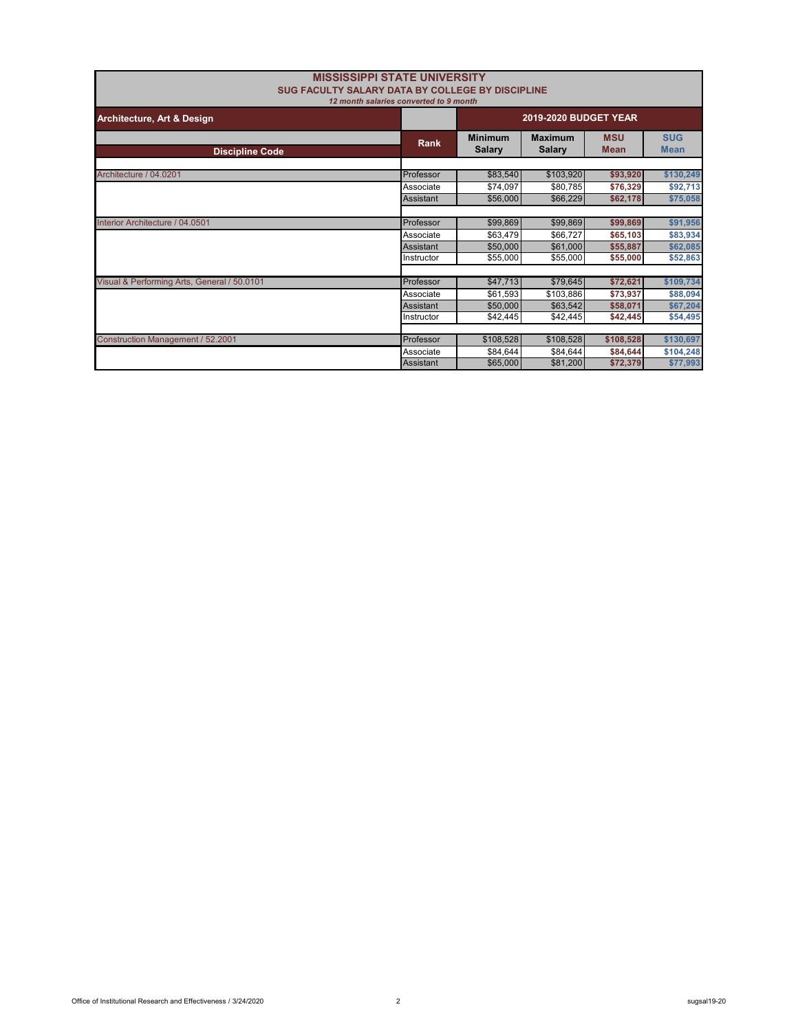| <b>MISSISSIPPI STATE UNIVERSITY</b><br>SUG FACULTY SALARY DATA BY COLLEGE BY DISCIPLINE |                  |                                 |                                 |                           |                           |
|-----------------------------------------------------------------------------------------|------------------|---------------------------------|---------------------------------|---------------------------|---------------------------|
| 12 month salaries converted to 9 month                                                  |                  |                                 |                                 |                           |                           |
| Architecture, Art & Design                                                              |                  | <b>2019-2020 BUDGET YEAR</b>    |                                 |                           |                           |
| <b>Discipline Code</b>                                                                  | Rank             | <b>Minimum</b><br><b>Salary</b> | <b>Maximum</b><br><b>Salary</b> | <b>MSU</b><br><b>Mean</b> | <b>SUG</b><br><b>Mean</b> |
|                                                                                         |                  |                                 |                                 |                           |                           |
| Architecture / 04.0201                                                                  | Professor        | \$83,540                        | \$103,920                       | \$93,920                  | \$130,249                 |
|                                                                                         | Associate        | \$74,097                        | \$80,785                        | \$76,329                  | \$92,713                  |
|                                                                                         | Assistant        | \$56,000                        | \$66,229                        | \$62,178                  | \$75,058                  |
|                                                                                         |                  |                                 |                                 |                           |                           |
| Interior Architecture / 04.0501                                                         | Professor        | \$99,869                        | \$99,869                        | \$99,869                  | \$91,956                  |
|                                                                                         | Associate        | \$63,479                        | \$66,727                        | \$65,103                  | \$83,934                  |
|                                                                                         | Assistant        | \$50,000                        | \$61,000                        | \$55,887                  | \$62,085                  |
|                                                                                         | Instructor       | \$55,000                        | \$55,000                        | \$55,000                  | \$52,863                  |
|                                                                                         |                  |                                 |                                 |                           |                           |
| Visual & Performing Arts, General / 50.0101                                             | Professor        | \$47,713                        | \$79,645                        | \$72,621                  | \$109,734                 |
|                                                                                         | Associate        | \$61,593                        | \$103,886                       | \$73,937                  | \$88,094                  |
|                                                                                         | Assistant        | \$50,000                        | \$63,542                        | \$58,071                  | \$67,204                  |
|                                                                                         | Instructor       | \$42,445                        | \$42,445                        | \$42,445                  | \$54,495                  |
|                                                                                         |                  |                                 |                                 |                           |                           |
| Construction Management / 52.2001                                                       | Professor        | \$108,528                       | \$108,528                       | \$108,528                 | \$130,697                 |
|                                                                                         | Associate        | \$84,644                        | \$84,644                        | \$84,644                  | \$104,248                 |
|                                                                                         | <b>Assistant</b> | \$65,000                        | \$81,200                        | \$72.379                  | \$77.993                  |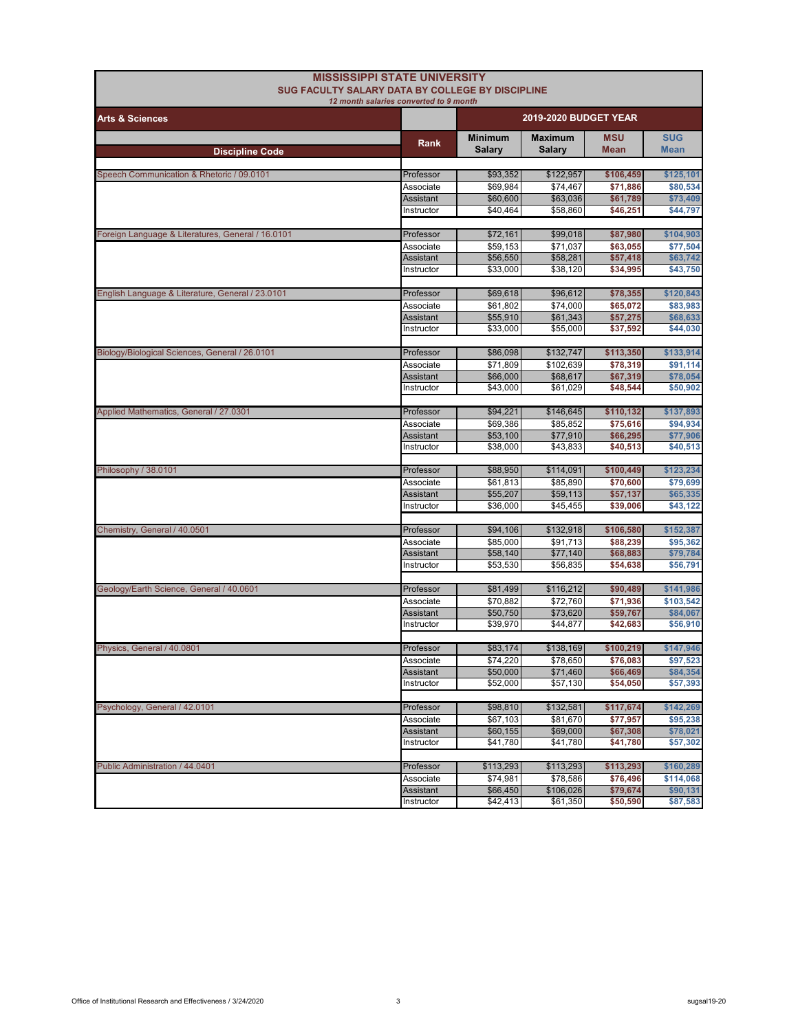| <b>MISSISSIPPI STATE UNIVERSITY</b><br>SUG FACULTY SALARY DATA BY COLLEGE BY DISCIPLINE | 12 month salaries converted to 9 month |                                 |                                 |                       |                           |
|-----------------------------------------------------------------------------------------|----------------------------------------|---------------------------------|---------------------------------|-----------------------|---------------------------|
| <b>Arts &amp; Sciences</b>                                                              |                                        |                                 | <b>2019-2020 BUDGET YEAR</b>    |                       |                           |
| <b>Discipline Code</b>                                                                  | Rank                                   | <b>Minimum</b><br><b>Salary</b> | <b>Maximum</b><br><b>Salary</b> | <b>MSU</b><br>Mean    | <b>SUG</b><br><b>Mean</b> |
|                                                                                         |                                        |                                 |                                 |                       |                           |
| Speech Communication & Rhetoric / 09.0101                                               | Professor                              | \$93,352                        | \$122,957                       | \$106,459             | \$125,101                 |
|                                                                                         | Associate<br>Assistant                 | \$69,984<br>\$60,600            | \$74,467<br>\$63,036            | \$71,886<br>\$61,789  | \$80,534<br>\$73,409      |
|                                                                                         | Instructor                             | \$40,464                        | \$58,860                        | \$46,251              | \$44,797                  |
|                                                                                         |                                        |                                 |                                 |                       |                           |
| Foreign Language & Literatures, General / 16.0101                                       | Professor                              | \$72,161                        | \$99,018                        | \$87,980              | \$104,903                 |
|                                                                                         | Associate                              | \$59,153                        | \$71,037                        | \$63,055              | \$77.504                  |
|                                                                                         | Assistant                              | \$56,550                        | \$58,281                        | \$57,418              | \$63,742                  |
|                                                                                         | Instructor                             | \$33,000                        | \$38,120                        | \$34,995              | \$43,750                  |
|                                                                                         |                                        |                                 |                                 |                       |                           |
| English Language & Literature, General / 23.0101                                        | Professor<br>Associate                 | \$69,618<br>\$61,802            | \$96,612<br>\$74,000            | \$78,355<br>\$65,072  | \$120,843<br>\$83,983     |
|                                                                                         | Assistant                              | \$55,910                        | \$61,343                        | \$57,275              | \$68,633                  |
|                                                                                         | Instructor                             | \$33,000                        | \$55,000                        | \$37,592              | \$44,030                  |
|                                                                                         |                                        |                                 |                                 |                       |                           |
| Biology/Biological Sciences, General / 26.0101                                          | Professor                              | \$86,098                        | \$132,747                       | \$113,350             | \$133,914                 |
|                                                                                         | Associate                              | \$71.809                        | \$102,639                       | \$78,319              | \$91,114                  |
|                                                                                         | <b>Assistant</b>                       | \$66,000                        | \$68,617                        | \$67,319              | \$78,054                  |
|                                                                                         | Instructor                             | \$43,000                        | \$61,029                        | \$48,544              | \$50,902                  |
|                                                                                         | Professor                              | \$94,221                        |                                 |                       | \$137,893                 |
| Applied Mathematics, General / 27.0301                                                  | Associate                              | \$69,386                        | \$146,645<br>\$85,852           | \$110,132<br>\$75,616 | \$94,934                  |
|                                                                                         | Assistant                              | \$53,100                        | \$77,910                        | \$66,295              | \$77,906                  |
|                                                                                         | Instructor                             | \$38,000                        | \$43,833                        | \$40,513              | \$40,513                  |
|                                                                                         |                                        |                                 |                                 |                       |                           |
| Philosophy / 38.0101                                                                    | Professor                              | \$88,950                        | \$114,091                       | \$100,449             | \$123,234                 |
|                                                                                         | Associate                              | \$61,813                        | \$85,890                        | \$70,600              | \$79,699                  |
|                                                                                         | Assistant                              | \$55,207                        | \$59,113                        | \$57,137              | \$65,335                  |
|                                                                                         | Instructor                             | \$36,000                        | \$45,455                        | \$39,006              | \$43,122                  |
| Chemistry, General / 40.0501                                                            | Professor                              | \$94,106                        | \$132,918                       | \$106,580             | \$152,387                 |
|                                                                                         | Associate                              | \$85,000                        | \$91,713                        | \$88,239              | \$95,362                  |
|                                                                                         | Assistant                              | \$58,140                        | \$77,140                        | \$68,883              | \$79,784                  |
|                                                                                         | Instructor                             | \$53,530                        | \$56,835                        | \$54,638              | \$56,791                  |
|                                                                                         |                                        |                                 |                                 |                       |                           |
| Geology/Earth Science, General / 40.0601                                                | Professor                              | \$81,499                        | \$116,212                       | \$90,489              | \$141,986                 |
|                                                                                         | Associate                              | \$70,882                        | \$72,760                        | \$71,936              | \$103,542                 |
|                                                                                         | <b>Assistant</b>                       | \$50,750                        | \$73,620                        | \$59,767              | \$84,067                  |
|                                                                                         | Instructor                             | \$39,970                        | \$44,877                        | \$42,683              | \$56,910                  |
| Physics, General / 40.0801                                                              | Professor                              | \$83,174                        | \$138,169                       | \$100,219             | \$147,946                 |
|                                                                                         | Associate                              | \$74,220                        | \$78,650                        | \$76,083              | \$97,523                  |
|                                                                                         | Assistant                              | \$50,000                        | \$71,460                        | \$66,469              | \$84,354                  |
|                                                                                         | Instructor                             | \$52,000                        | \$57,130                        | \$54,050              | \$57,393                  |
|                                                                                         |                                        |                                 |                                 |                       |                           |
| Psychology, General / 42.0101                                                           | Professor                              | \$98,810                        | \$132,581                       | \$117,674             | \$142,269                 |
|                                                                                         | Associate                              | \$67,103                        | \$81,670                        | \$77,957              | \$95,238                  |
|                                                                                         | Assistant<br>Instructor                | \$60,155<br>\$41,780            | \$69,000<br>\$41,780            | \$67,308<br>\$41,780  | \$78,021                  |
|                                                                                         |                                        |                                 |                                 |                       | \$57,302                  |
| Public Administration / 44.0401                                                         | Professor                              | \$113,293                       | \$113,293                       | \$113,293             | \$160,289                 |
|                                                                                         | Associate                              | \$74,981                        | \$78,586                        | \$76,496              | \$114,068                 |
|                                                                                         | <b>Assistant</b>                       | \$66,450                        | \$106,026                       | \$79,674              | \$90,131                  |
|                                                                                         | Instructor                             | \$42,413                        | \$61,350                        | \$50,590              | \$87,583                  |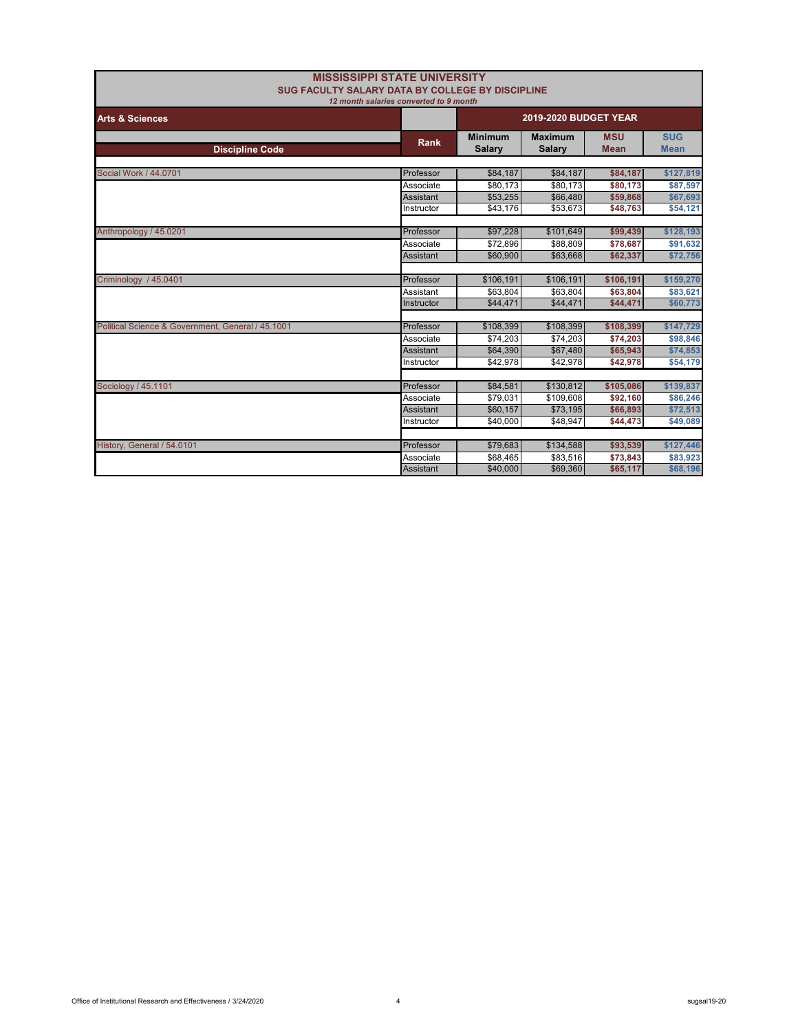|                                                   | <b>MISSISSIPPI STATE UNIVERSITY</b><br>SUG FACULTY SALARY DATA BY COLLEGE BY DISCIPLINE<br>12 month salaries converted to 9 month |                                 |                                 |                           |                           |  |
|---------------------------------------------------|-----------------------------------------------------------------------------------------------------------------------------------|---------------------------------|---------------------------------|---------------------------|---------------------------|--|
| <b>Arts &amp; Sciences</b>                        |                                                                                                                                   | <b>2019-2020 BUDGET YEAR</b>    |                                 |                           |                           |  |
| <b>Discipline Code</b>                            | <b>Rank</b>                                                                                                                       | <b>Minimum</b><br><b>Salary</b> | <b>Maximum</b><br><b>Salary</b> | <b>MSU</b><br><b>Mean</b> | <b>SUG</b><br><b>Mean</b> |  |
|                                                   |                                                                                                                                   |                                 |                                 |                           |                           |  |
| Social Work / 44.0701                             | Professor                                                                                                                         | \$84,187                        | \$84,187                        | \$84,187                  | \$127,819                 |  |
|                                                   | Associate                                                                                                                         | \$80.173                        | \$80.173                        | \$80,173                  | \$87,597                  |  |
|                                                   | Assistant                                                                                                                         | \$53,255                        | \$66,480                        | \$59,868                  | \$67,693                  |  |
|                                                   | Instructor                                                                                                                        | \$43,176                        | \$53,673                        | \$48,763                  | \$54,121                  |  |
| Anthropology / 45.0201                            | Professor                                                                                                                         | \$97,228                        | \$101,649                       | \$99,439                  | \$128,193                 |  |
|                                                   | Associate                                                                                                                         | \$72,896                        | \$88,809                        | \$78,687                  | \$91,632                  |  |
|                                                   | Assistant                                                                                                                         | \$60,900                        | \$63,668                        | \$62,337                  | \$72,756                  |  |
| Criminology / 45.0401                             | Professor                                                                                                                         | \$106,191                       | \$106,191                       | \$106,191                 | \$159,270                 |  |
|                                                   | Assistant                                                                                                                         | \$63,804                        | \$63,804                        | \$63,804                  | \$83,621                  |  |
|                                                   | Instructor                                                                                                                        | \$44,471                        | \$44,471                        | \$44,471                  | \$60,773                  |  |
|                                                   |                                                                                                                                   |                                 |                                 |                           |                           |  |
| Political Science & Government, General / 45.1001 | Professor                                                                                                                         | \$108,399                       | \$108,399                       | \$108,399                 | \$147,729                 |  |
|                                                   | Associate                                                                                                                         | \$74,203                        | \$74,203                        | \$74,203                  | \$98,846                  |  |
|                                                   | <b>Assistant</b>                                                                                                                  | \$64,390                        | \$67,480                        | \$65,943                  | \$74,853                  |  |
|                                                   | Instructor                                                                                                                        | \$42.978                        | \$42.978                        | \$42,978                  | \$54,179                  |  |
| Sociology / 45.1101                               | Professor                                                                                                                         | \$84,581                        | \$130.812                       | \$105,086                 | \$139,837                 |  |
|                                                   | Associate                                                                                                                         | \$79.031                        | \$109,608                       | \$92,160                  | \$86,246                  |  |
|                                                   | <b>Assistant</b>                                                                                                                  | \$60,157                        | \$73,195                        | \$66,893                  | \$72,513                  |  |
|                                                   | Instructor                                                                                                                        | \$40,000                        | \$48,947                        | \$44,473                  | \$49,089                  |  |
| History, General / 54.0101                        | Professor                                                                                                                         | \$79,683                        | \$134,588                       | \$93,539                  | \$127,446                 |  |
|                                                   | Associate                                                                                                                         | \$68.465                        | \$83.516                        | \$73,843                  | \$83.923                  |  |
|                                                   | <b>Assistant</b>                                                                                                                  | \$40,000                        | \$69,360                        | \$65,117                  | \$68,196                  |  |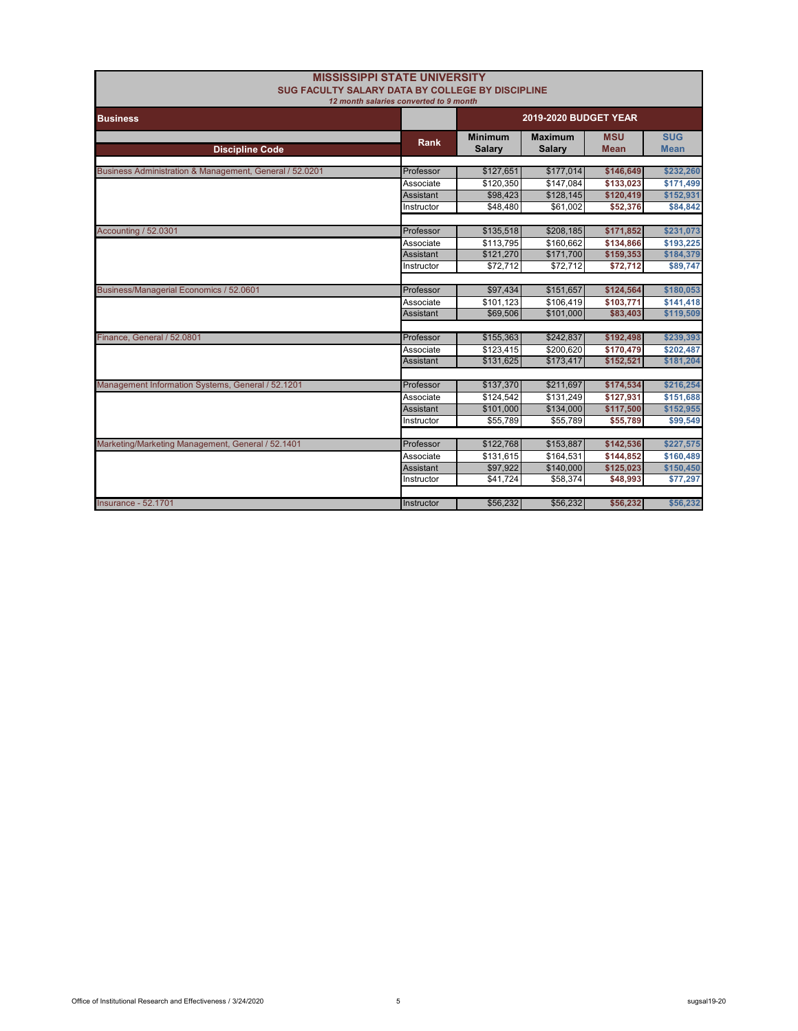| SUG FACULTY SALARY DATA BY COLLEGE BY DISCIPLINE        | <b>MISSISSIPPI STATE UNIVERSITY</b><br>12 month salaries converted to 9 month |                                 |                                 |                           |                           |
|---------------------------------------------------------|-------------------------------------------------------------------------------|---------------------------------|---------------------------------|---------------------------|---------------------------|
| <b>Business</b>                                         |                                                                               |                                 | 2019-2020 BUDGET YEAR           |                           |                           |
| <b>Discipline Code</b>                                  | <b>Rank</b>                                                                   | <b>Minimum</b><br><b>Salarv</b> | <b>Maximum</b><br><b>Salary</b> | <b>MSU</b><br><b>Mean</b> | <b>SUG</b><br><b>Mean</b> |
| Business Administration & Management, General / 52.0201 | Professor                                                                     | \$127,651                       | \$177,014                       | \$146,649                 | \$232,260                 |
|                                                         | Associate                                                                     | \$120.350                       | \$147.084                       | \$133,023                 | \$171,499                 |
|                                                         | <b>Assistant</b>                                                              | \$98,423                        | \$128,145                       | \$120,419                 | \$152,931                 |
|                                                         | Instructor                                                                    | \$48,480                        | \$61,002                        | \$52,376                  | \$84,842                  |
|                                                         |                                                                               |                                 |                                 |                           |                           |
| Accounting / 52.0301                                    | Professor                                                                     | \$135,518                       | \$208,185                       | \$171,852                 | \$231,073                 |
|                                                         | Associate                                                                     | \$113,795                       | \$160,662                       | \$134,866                 | \$193,225                 |
|                                                         | Assistant                                                                     | \$121,270                       | \$171,700                       | \$159,353                 | \$184,379                 |
|                                                         | Instructor                                                                    | \$72,712                        | \$72,712                        | \$72,712                  | \$89,747                  |
|                                                         |                                                                               |                                 |                                 |                           |                           |
| Business/Managerial Economics / 52.0601                 | Professor                                                                     | \$97,434                        | \$151,657                       | \$124,564                 | \$180,053                 |
|                                                         | Associate                                                                     | \$101.123                       | \$106,419                       | \$103,771                 | \$141,418                 |
|                                                         | <b>Assistant</b>                                                              | \$69,506                        | \$101,000                       | \$83,403                  | \$119,509                 |
|                                                         |                                                                               |                                 |                                 |                           |                           |
| Finance, General / 52.0801                              | Professor                                                                     | \$155,363                       | \$242,837                       | \$192,498                 | \$239,393                 |
|                                                         | Associate                                                                     | \$123,415                       | \$200,620                       | \$170,479                 | \$202,487                 |
|                                                         | <b>Assistant</b>                                                              | \$131,625                       | \$173,417                       | \$152,521                 | \$181,204                 |
|                                                         |                                                                               |                                 |                                 |                           |                           |
| Management Information Systems, General / 52.1201       | Professor                                                                     | \$137,370                       | \$211,697                       | \$174,534                 | \$216,254                 |
|                                                         | Associate                                                                     | \$124,542                       | \$131,249                       | \$127,931                 | \$151,688                 |
|                                                         | <b>Assistant</b>                                                              | \$101,000                       | \$134,000                       | \$117,500                 | \$152,955                 |
|                                                         | Instructor                                                                    | \$55,789                        | \$55,789                        | \$55,789                  | \$99,549                  |
|                                                         |                                                                               |                                 |                                 |                           |                           |
| Marketing/Marketing Management, General / 52.1401       | Professor                                                                     | \$122,768                       | \$153,887                       | \$142,536                 | \$227,575                 |
|                                                         | Associate                                                                     | \$131.615                       | \$164,531                       | \$144,852                 | \$160,489                 |
|                                                         | <b>Assistant</b>                                                              | \$97,922                        | \$140,000                       | \$125,023                 | \$150,450                 |
|                                                         | Instructor                                                                    | \$41.724                        | \$58,374                        | \$48,993                  | \$77,297                  |
|                                                         |                                                                               |                                 |                                 |                           |                           |
| <b>Insurance - 52,1701</b>                              | Instructor                                                                    | \$56,232                        | \$56,232                        | \$56,232                  | \$56,232                  |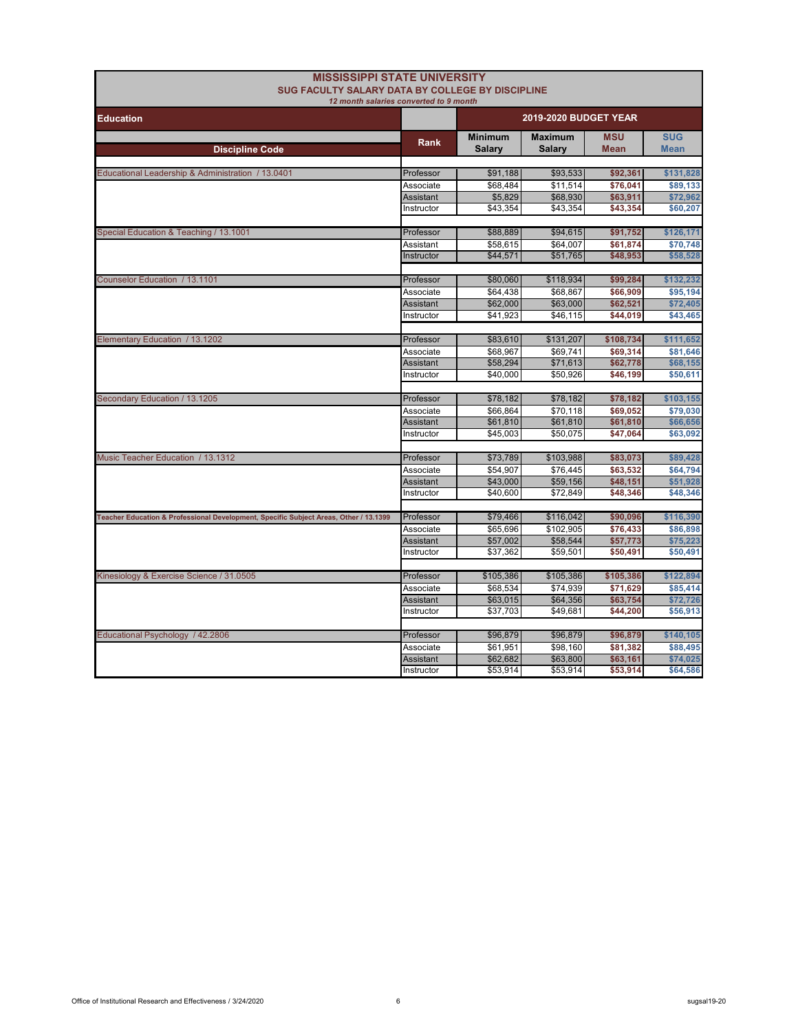| <b>MISSISSIPPI STATE UNIVERSITY</b>                                                   |                                        |                      |                              |                      |                      |  |
|---------------------------------------------------------------------------------------|----------------------------------------|----------------------|------------------------------|----------------------|----------------------|--|
| SUG FACULTY SALARY DATA BY COLLEGE BY DISCIPLINE                                      |                                        |                      |                              |                      |                      |  |
|                                                                                       | 12 month salaries converted to 9 month |                      |                              |                      |                      |  |
| <b>Education</b>                                                                      |                                        |                      | <b>2019-2020 BUDGET YEAR</b> |                      |                      |  |
|                                                                                       |                                        | <b>Minimum</b>       | <b>Maximum</b>               | <b>MSU</b>           | <b>SUG</b>           |  |
| <b>Discipline Code</b>                                                                | Rank                                   | <b>Salary</b>        | Salary                       | <b>Mean</b>          | <b>Mean</b>          |  |
|                                                                                       |                                        |                      |                              |                      |                      |  |
| Educational Leadership & Administration / 13.0401                                     | Professor                              | \$91,188             | \$93,533                     | \$92,361             | \$131,828            |  |
|                                                                                       | Associate                              | \$68,484             | \$11,514                     | \$76,041             | \$89,133             |  |
|                                                                                       | <b>Assistant</b>                       | \$5,829              | \$68,930                     | \$63,911             | \$72,962             |  |
|                                                                                       | Instructor                             | \$43,354             | \$43,354                     | \$43,354             | \$60,207             |  |
|                                                                                       | Professor                              | \$88,889             | \$94,615                     |                      | \$126,171            |  |
| Special Education & Teaching / 13.1001                                                |                                        | \$58,615             | \$64,007                     | \$91,752<br>\$61,874 | \$70,748             |  |
|                                                                                       | Assistant<br>Instructor                | \$44,571             | \$51,765                     | \$48,953             | \$58,528             |  |
|                                                                                       |                                        |                      |                              |                      |                      |  |
| Counselor Education / 13.1101                                                         | Professor                              | \$80,060             | \$118,934                    | \$99,284             | \$132,232            |  |
|                                                                                       | Associate                              | \$64,438             | \$68,867                     | \$66,909             | \$95,194             |  |
|                                                                                       | <b>Assistant</b>                       | \$62,000             | \$63,000                     | \$62,521             | \$72,405             |  |
|                                                                                       | Instructor                             | \$41,923             | \$46,115                     | \$44,019             | \$43,465             |  |
|                                                                                       |                                        |                      |                              |                      |                      |  |
| Elementary Education / 13.1202                                                        | Professor                              | \$83,610             | \$131,207                    | \$108,734            | \$111,652            |  |
|                                                                                       | Associate                              | \$68,967             | \$69,741                     | \$69,314             | \$81,646             |  |
|                                                                                       | Assistant                              | \$58,294             | \$71,613                     | \$62,778             | \$68,155             |  |
|                                                                                       | Instructor                             | \$40,000             | \$50,926                     | \$46,199             | \$50,611             |  |
|                                                                                       |                                        |                      |                              |                      |                      |  |
| Secondary Education / 13.1205                                                         | Professor                              | \$78,182             | \$78,182                     | \$78,182             | \$103,155            |  |
|                                                                                       | Associate                              | \$66,864             | \$70,118                     | \$69,052             | \$79,030             |  |
|                                                                                       | <b>Assistant</b><br>Instructor         | \$61,810<br>\$45,003 | \$61,810<br>\$50,075         | \$61,810<br>\$47,064 | \$66,656<br>\$63,092 |  |
|                                                                                       |                                        |                      |                              |                      |                      |  |
| Music Teacher Education / 13.1312                                                     | Professor                              | \$73,789             | \$103,988                    | \$83,073             | \$89,428             |  |
|                                                                                       | Associate                              | \$54,907             | \$76,445                     | \$63,532             | \$64,794             |  |
|                                                                                       | <b>Assistant</b>                       | \$43,000             | \$59,156                     | \$48,151             | \$51,928             |  |
|                                                                                       | Instructor                             | \$40.600             | \$72,849                     | \$48,346             | \$48,346             |  |
|                                                                                       |                                        |                      |                              |                      |                      |  |
| Teacher Education & Professional Development, Specific Subject Areas, Other / 13.1399 | Professor                              | \$79,466             | \$116,042                    | \$90,096             | \$116,390            |  |
|                                                                                       | Associate                              | \$65,696             | \$102,905                    | \$76,433             | \$86,898             |  |
|                                                                                       | Assistant                              | \$57,002             | \$58,544                     | \$57,773             | \$75,223             |  |
|                                                                                       | Instructor                             | \$37,362             | \$59,501                     | \$50,491             | \$50,491             |  |
|                                                                                       |                                        |                      |                              |                      |                      |  |
| Kinesiology & Exercise Science / 31.0505                                              | Professor                              | \$105,386            | \$105,386                    | \$105,386            | \$122,894            |  |
|                                                                                       | Associate<br>Assistant                 | \$68,534<br>\$63,015 | \$74.939<br>\$64,356         | \$71,629<br>\$63,754 | \$85,414<br>\$72,726 |  |
|                                                                                       | Instructor                             | \$37,703             | \$49,681                     | \$44,200             | \$56,913             |  |
|                                                                                       |                                        |                      |                              |                      |                      |  |
| Educational Psychology / 42.2806                                                      | Professor                              | \$96,879             | \$96,879                     | \$96,879             | \$140,105            |  |
|                                                                                       | Associate                              | \$61,951             | \$98,160                     | \$81,382             | \$88,495             |  |
|                                                                                       | Assistant                              | \$62,682             | \$63,800                     | \$63,161             | \$74,025             |  |
|                                                                                       | Instructor                             | \$53,914             | \$53,914                     | \$53,914             | \$64,586             |  |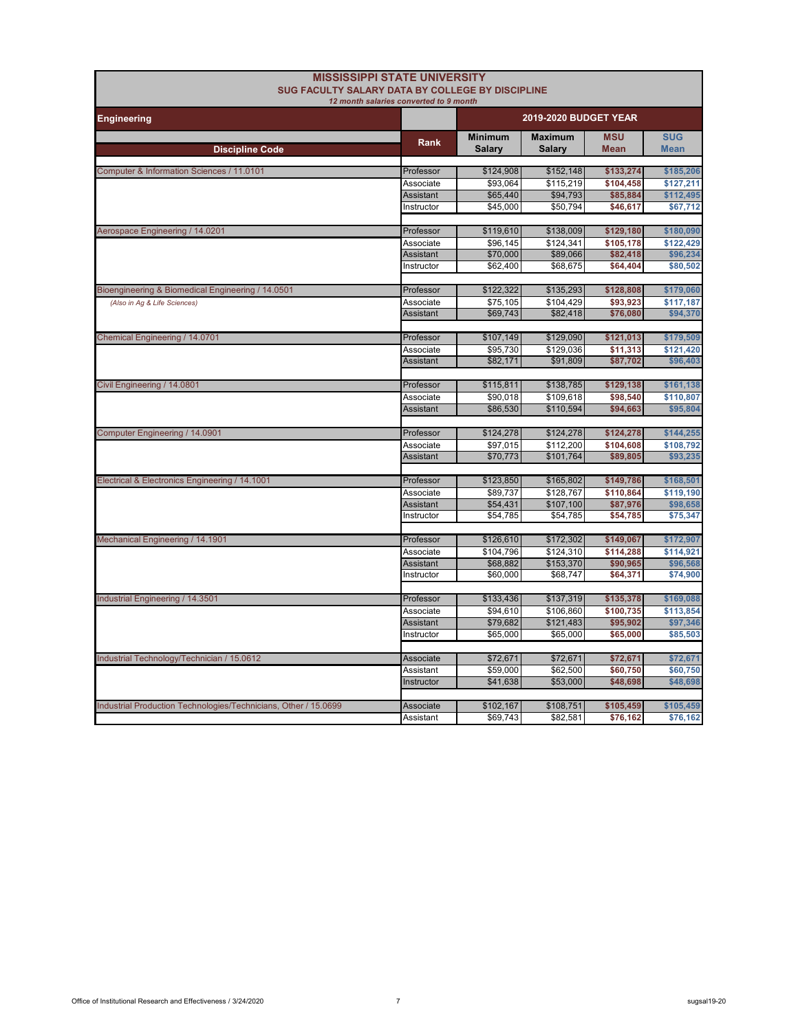|                                                                 | <b>MISSISSIPPI STATE UNIVERSITY</b>    |                      |                              |                       |                        |
|-----------------------------------------------------------------|----------------------------------------|----------------------|------------------------------|-----------------------|------------------------|
| SUG FACULTY SALARY DATA BY COLLEGE BY DISCIPLINE                | 12 month salaries converted to 9 month |                      |                              |                       |                        |
| <b>Engineering</b>                                              |                                        |                      | <b>2019-2020 BUDGET YEAR</b> |                       |                        |
|                                                                 |                                        | <b>Minimum</b>       | <b>Maximum</b>               | <b>MSU</b>            | <b>SUG</b>             |
| <b>Discipline Code</b>                                          | Rank                                   | <b>Salary</b>        | <b>Salary</b>                | <b>Mean</b>           | <b>Mean</b>            |
|                                                                 |                                        |                      |                              |                       |                        |
| Computer & Information Sciences / 11.0101                       | Professor                              | \$124,908            | \$152,148                    | \$133,274             | \$185,206              |
|                                                                 | Associate<br><b>Assistant</b>          | \$93.064<br>\$65,440 | \$115,219<br>\$94,793        | \$104,458<br>\$85,884 | \$127,211<br>\$112,495 |
|                                                                 | Instructor                             | \$45,000             | \$50,794                     | \$46,617              | \$67,712               |
|                                                                 |                                        |                      |                              |                       |                        |
| Aerospace Engineering / 14.0201                                 | Professor                              | \$119,610            | \$138,009                    | \$129,180             | \$180,090              |
|                                                                 | Associate                              | \$96,145             | \$124,341                    | \$105,178             | \$122.429              |
|                                                                 | <b>Assistant</b>                       | \$70,000             | \$89,066                     | \$82,418              | \$96,234               |
|                                                                 | Instructor                             | \$62,400             | \$68,675                     | \$64,404              | \$80,502               |
| Bioengineering & Biomedical Engineering / 14.0501               | Professor                              | \$122,322            | \$135,293                    | \$128,808             | \$179,060              |
| (Also in Ag & Life Sciences)                                    | Associate                              | $\overline{$}75,105$ | \$104.429                    | \$93,923              | \$117,187              |
|                                                                 | <b>Assistant</b>                       | \$69,743             | \$82,418                     | \$76,080              | \$94,370               |
|                                                                 |                                        |                      |                              |                       |                        |
| <b>Chemical Engineering / 14.0701</b>                           | Professor                              | \$107,149            | \$129,090                    | \$121,013             | \$179,509              |
|                                                                 | Associate                              | \$95,730             | \$129,036                    | \$11,313              | \$121,420              |
|                                                                 | <b>Assistant</b>                       | \$82,171             | \$91,809                     | \$87,702              | \$96,403               |
| Civil Engineering / 14.0801                                     | Professor                              | \$115,811            | \$138,785                    | \$129,138             | \$161,138              |
|                                                                 | Associate                              | \$90.018             | \$109.618                    | \$98.540              | \$110,807              |
|                                                                 | <b>Assistant</b>                       | \$86,530             | \$110,594                    | \$94,663              | \$95,804               |
|                                                                 |                                        |                      |                              |                       |                        |
| Computer Engineering / 14.0901                                  | Professor                              | \$124,278            | \$124,278                    | \$124,278             | \$144,255              |
|                                                                 | Associate                              | \$97,015             | \$112,200                    | \$104,608             | \$108,792              |
|                                                                 | Assistant                              | \$70,773             | \$101,764                    | \$89,805              | \$93,235               |
| Electrical & Electronics Engineering / 14.1001                  | Professor                              | \$123,850            | \$165,802                    | \$149,786             | \$168,501              |
|                                                                 | Associate                              | \$89,737             | \$128,767                    | \$110,864             | \$119,190              |
|                                                                 | <b>Assistant</b>                       | \$54,431             | \$107,100                    | \$87,976              | \$98,658               |
|                                                                 | Instructor                             | \$54,785             | \$54,785                     | \$54,785              | \$75,347               |
|                                                                 |                                        |                      |                              |                       |                        |
| Mechanical Engineering / 14.1901                                | Professor                              | \$126,610            | \$172,302                    | \$149,067             | \$172,907              |
|                                                                 | Associate                              | \$104,796            | \$124,310                    | \$114,288             | \$114,921              |
|                                                                 | <b>Assistant</b><br>Instructor         | \$68,882<br>\$60,000 | \$153,370                    | \$90,965              | \$96,568               |
|                                                                 |                                        |                      | \$68,747                     | \$64,371              | \$74,900               |
| Industrial Engineering / 14.3501                                | Professor                              | \$133,436            | \$137,319                    | \$135,378             | \$169,088              |
|                                                                 | Associate                              | \$94,610             | \$106,860                    | \$100,735             | \$113,854              |
|                                                                 | <b>Assistant</b>                       | \$79,682             | \$121,483                    | \$95,902              | \$97,346               |
|                                                                 | Instructor                             | \$65,000             | \$65,000                     | \$65,000              | \$85,503               |
|                                                                 | Associate                              |                      |                              |                       |                        |
| Industrial Technology/Technician / 15.0612                      | Assistant                              | \$72,671<br>\$59,000 | \$72,671<br>\$62,500         | \$72,671<br>\$60,750  | \$72,671<br>\$60,750   |
|                                                                 | Instructor                             | \$41,638             | \$53,000                     | \$48,698              | \$48,698               |
|                                                                 |                                        |                      |                              |                       |                        |
| Industrial Production Technologies/Technicians, Other / 15.0699 | Associate                              | \$102,167            | \$108,751                    | \$105,459             | \$105,459              |
|                                                                 | Assistant                              | \$69,743             | \$82,581                     | \$76,162              | \$76,162               |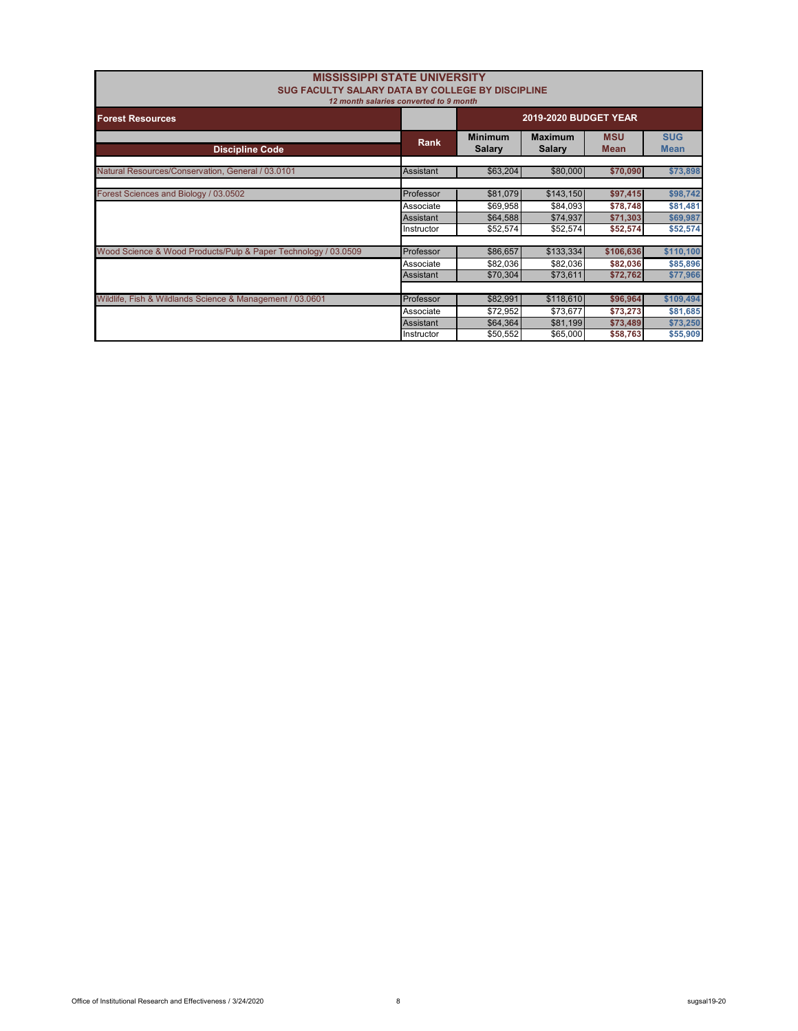| <b>MISSISSIPPI STATE UNIVERSITY</b><br><b>SUG FACULTY SALARY DATA BY COLLEGE BY DISCIPLINE</b> | 12 month salaries converted to 9 month |                          |                          |                           |                           |
|------------------------------------------------------------------------------------------------|----------------------------------------|--------------------------|--------------------------|---------------------------|---------------------------|
| <b>Forest Resources</b>                                                                        | <b>2019-2020 BUDGET YEAR</b>           |                          |                          |                           |                           |
| <b>Discipline Code</b>                                                                         | Rank                                   | <b>Minimum</b><br>Salary | <b>Maximum</b><br>Salary | <b>MSU</b><br><b>Mean</b> | <b>SUG</b><br><b>Mean</b> |
| Natural Resources/Conservation, General / 03.0101                                              | <b>Assistant</b>                       | \$63,204                 | \$80,000                 | \$70,090                  | \$73,898                  |
| Forest Sciences and Biology / 03.0502                                                          | Professor                              | \$81,079                 | \$143,150                | \$97,415                  | \$98,742                  |
|                                                                                                | Associate<br><b>Assistant</b>          | \$69,958<br>\$64,588     | \$84,093<br>\$74,937     | \$78,748<br>\$71,303      | \$81,481<br>\$69,987      |
|                                                                                                | Instructor                             | \$52,574                 | \$52,574                 | \$52,574                  | \$52,574                  |
| Wood Science & Wood Products/Pulp & Paper Technology / 03.0509                                 | Professor                              | \$86,657                 | \$133,334                | \$106,636                 | \$110,100                 |
|                                                                                                | Associate                              | \$82,036                 | \$82,036                 | \$82,036                  | \$85,896                  |
|                                                                                                | Assistant                              | \$70,304                 | \$73,611                 | \$72,762                  | \$77,966                  |
| Wildlife, Fish & Wildlands Science & Management / 03.0601                                      | Professor                              | \$82,991                 | \$118,610                | \$96,964                  | \$109,494                 |
|                                                                                                | Associate                              | \$72,952                 | \$73.677                 | \$73,273                  | \$81,685                  |
|                                                                                                | <b>Assistant</b>                       | \$64,364                 | \$81,199                 | \$73,489                  | \$73,250                  |
|                                                                                                | Instructor                             | \$50,552                 | \$65,000                 | \$58,763                  | \$55,909                  |